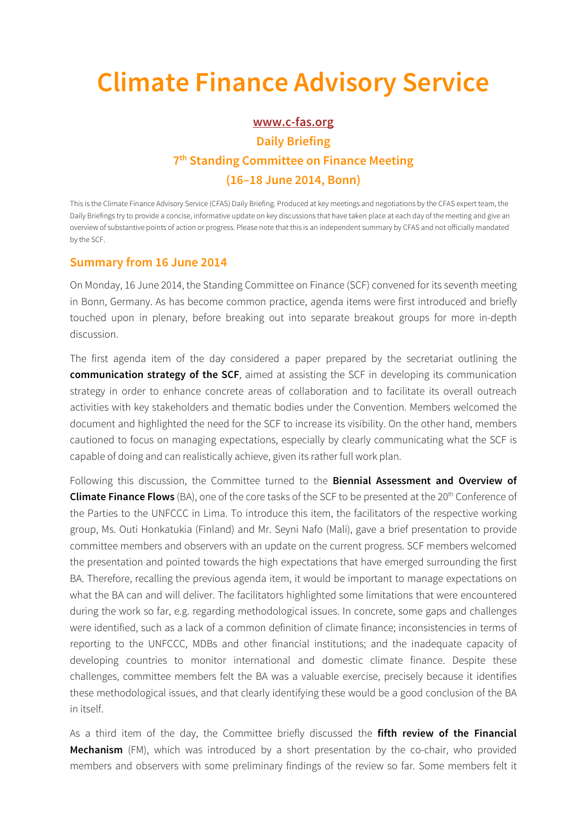## **Climate Finance Advisory Service**

## **www.c-fas.org Daily Briefing 7th Standing Committee on Finance Meeting (16–18 June 2014, Bonn)**

This is the Climate Finance Advisory Service (CFAS) Daily Briefing. Produced at key meetings and negotiations by the CFAS expert team, the Daily Briefings try to provide a concise, informative update on key discussions that have taken place at each day of the meeting and give an overview of substantive points of action or progress. Please note that this is an independent summary by CFAS and not officially mandated by the SCF.

## **Summary from 16 June 2014**

On Monday, 16 June 2014, the Standing Committee on Finance (SCF) convened for its seventh meeting in Bonn, Germany. As has become common practice, agenda items were first introduced and briefly touched upon in plenary, before breaking out into separate breakout groups for more in-depth discussion.

The first agenda item of the day considered a paper prepared by the secretariat outlining the **communication strategy of the SCF**, aimed at assisting the SCF in developing its communication strategy in order to enhance concrete areas of collaboration and to facilitate its overall outreach activities with key stakeholders and thematic bodies under the Convention. Members welcomed the document and highlighted the need for the SCF to increase its visibility. On the other hand, members cautioned to focus on managing expectations, especially by clearly communicating what the SCF is capable of doing and can realistically achieve, given its rather full work plan.

Following this discussion, the Committee turned to the **Biennial Assessment and Overview of Climate Finance Flows** (BA), one of the core tasks of the SCF to be presented at the 20<sup>th</sup> Conference of the Parties to the UNFCCC in Lima. To introduce this item, the facilitators of the respective working group, Ms. Outi Honkatukia (Finland) and Mr. Seyni Nafo (Mali), gave a brief presentation to provide committee members and observers with an update on the current progress. SCF members welcomed the presentation and pointed towards the high expectations that have emerged surrounding the first BA. Therefore, recalling the previous agenda item, it would be important to manage expectations on what the BA can and will deliver. The facilitators highlighted some limitations that were encountered during the work so far, e.g. regarding methodological issues. In concrete, some gaps and challenges were identified, such as a lack of a common definition of climate finance; inconsistencies in terms of reporting to the UNFCCC, MDBs and other financial institutions; and the inadequate capacity of developing countries to monitor international and domestic climate finance. Despite these challenges, committee members felt the BA was a valuable exercise, precisely because it identifies these methodological issues, and that clearly identifying these would be a good conclusion of the BA in itself.

As a third item of the day, the Committee briefly discussed the **fifth review of the Financial Mechanism** (FM), which was introduced by a short presentation by the co-chair, who provided members and observers with some preliminary findings of the review so far. Some members felt it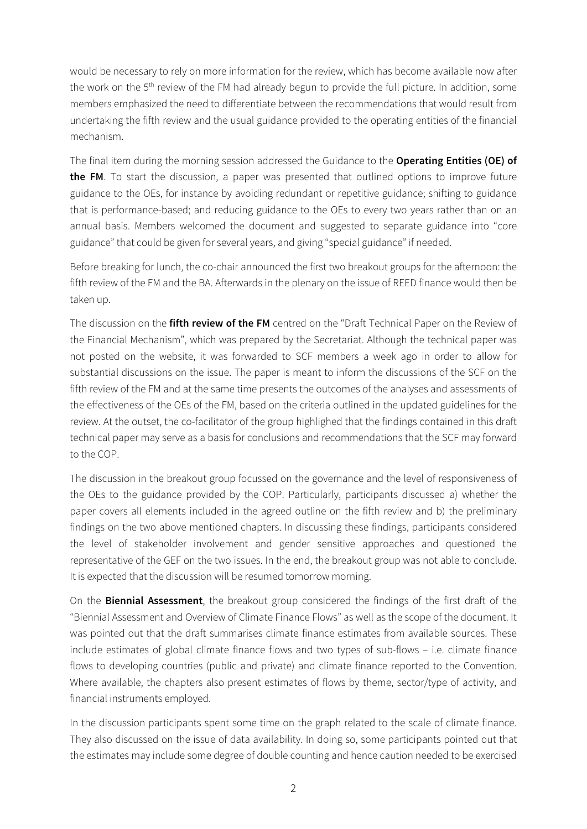would be necessary to rely on more information for the review, which has become available now after the work on the 5<sup>th</sup> review of the FM had already begun to provide the full picture. In addition, some members emphasized the need to differentiate between the recommendations that would result from undertaking the fifth review and the usual guidance provided to the operating entities of the financial mechanism.

The final item during the morning session addressed the Guidance to the **Operating Entities (OE) of the FM**. To start the discussion, a paper was presented that outlined options to improve future guidance to the OEs, for instance by avoiding redundant or repetitive guidance; shifting to guidance that is performance-based; and reducing guidance to the OEs to every two years rather than on an annual basis. Members welcomed the document and suggested to separate guidance into "core guidance" that could be given for several years, and giving "special guidance" if needed.

Before breaking for lunch, the co-chair announced the first two breakout groups for the afternoon: the fifth review of the FM and the BA. Afterwards in the plenary on the issue of REED finance would then be taken up.

The discussion on the **fifth review of the FM** centred on the "Draft Technical Paper on the Review of the Financial Mechanism", which was prepared by the Secretariat. Although the technical paper was not posted on the website, it was forwarded to SCF members a week ago in order to allow for substantial discussions on the issue. The paper is meant to inform the discussions of the SCF on the fifth review of the FM and at the same time presents the outcomes of the analyses and assessments of the effectiveness of the OEs of the FM, based on the criteria outlined in the updated guidelines for the review. At the outset, the co-facilitator of the group highlighed that the findings contained in this draft technical paper may serve as a basis for conclusions and recommendations that the SCF may forward to the COP.

The discussion in the breakout group focussed on the governance and the level of responsiveness of the OEs to the guidance provided by the COP. Particularly, participants discussed a) whether the paper covers all elements included in the agreed outline on the fifth review and b) the preliminary findings on the two above mentioned chapters. In discussing these findings, participants considered the level of stakeholder involvement and gender sensitive approaches and questioned the representative of the GEF on the two issues. In the end, the breakout group was not able to conclude. It is expected that the discussion will be resumed tomorrow morning.

On the **Biennial Assessment**, the breakout group considered the findings of the first draft of the "Biennial Assessment and Overview of Climate Finance Flows" as well as the scope of the document. It was pointed out that the draft summarises climate finance estimates from available sources. These include estimates of global climate finance flows and two types of sub-flows – i.e. climate finance flows to developing countries (public and private) and climate finance reported to the Convention. Where available, the chapters also present estimates of flows by theme, sector/type of activity, and financial instruments employed.

In the discussion participants spent some time on the graph related to the scale of climate finance. They also discussed on the issue of data availability. In doing so, some participants pointed out that the estimates may include some degree of double counting and hence caution needed to be exercised